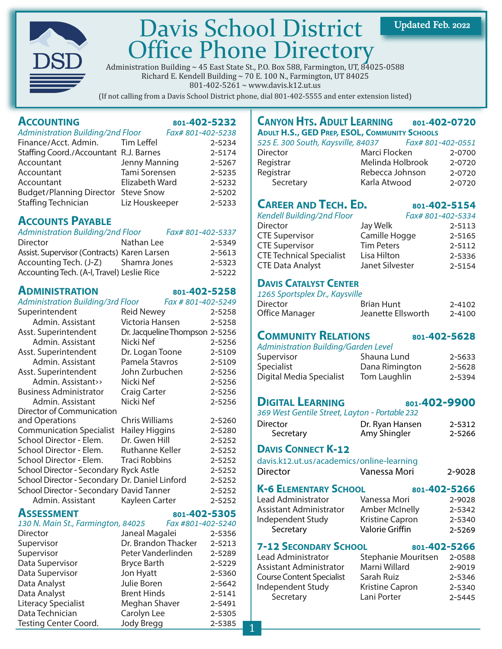

## Davis School District Office Phone Directory

Administration Building  $\sim 45$  East State St., P.O. Box 588, Farmington, UT, 84025-0588 Richard E. Kendell Building ~ 70 E. 100 N., Farmington, UT 84025 801-402-5261 ~ www.davis.k12.ut.us

(If not calling from a Davis School District phone, dial 801-402-5555 and enter extension listed)

### **ACCOUNTING** 801-402-5232

| <b>Administration Building/2nd Floor</b> |                | Fax# 801-402-5238 |        |
|------------------------------------------|----------------|-------------------|--------|
| Finance/Acct. Admin. Tim Leffel          |                |                   | 2-5234 |
| Staffing Coord./Accountant R.J. Barnes   |                |                   | 2-5174 |
| Accountant                               | Jenny Manning  |                   | 2-5267 |
| Accountant                               | Tami Sorensen  |                   | 2-5235 |
| Accountant                               | Elizabeth Ward |                   | 2-5232 |
| Budget/Planning Director Steve Snow      |                |                   | 2-5202 |
| Staffing Technician                      | Liz Houskeeper |                   | 2-5233 |

### **ACCOUNTS PAYABLE**

| Administration Building/2nd Floor           |              | Fax# 801-402-5337 |            |
|---------------------------------------------|--------------|-------------------|------------|
| Director                                    | Nathan Lee   |                   | 2-5349     |
| Assist. Supervisor (Contracts) Karen Larsen |              |                   | 2-5613     |
| Accounting Tech. (J-Z)                      | Shamra Jones |                   | 2-5323     |
| Accounting Tech. (A-I, Travel) Leslie Rice  |              |                   | $2 - 5222$ |

### **[ADMINISTRATION](http://www.davis.k12.ut.us/district/superintendent) 801-402-5258**

|                                                      |                                |                   | $-1$ . The state $-1$ is the state of $-1$     |                    |              |
|------------------------------------------------------|--------------------------------|-------------------|------------------------------------------------|--------------------|--------------|
| Administration Building/3rd Floor Fax # 801-402-5249 |                                |                   | Director                                       | <b>Brian Hunt</b>  | 2-4102       |
| Superintendent                                       | Reid Newey                     | 2-5258            | Office Manager                                 | Jeanette Ellsworth | $2 - 4100$   |
| Admin. Assistant                                     | Victoria Hansen                | 2-5258            |                                                |                    |              |
| Asst. Superintendent                                 | Dr. Jacqueline Thompson 2-5256 |                   | <b>COMMUNITY RELATIONS</b>                     |                    | 801-402-5628 |
| Admin. Assistant                                     | Nicki Nef                      | 2-5256            | Administration Building/Garden Level           |                    |              |
| Asst. Superintendent                                 | Dr. Logan Toone                | 2-5109            | Supervisor                                     | Shauna Lund        | 2-5633       |
| Admin. Assistant                                     | Pamela Stavros                 | 2-5109            |                                                |                    |              |
| Asst. Superintendent                                 | John Zurbuchen                 | 2-5256            | Specialist                                     | Dana Rimington     | 2-5628       |
| Admin. Assistant>>                                   | Nicki Nef                      | 2-5256            | Digital Media Specialist                       | Tom Laughlin       | 2-5394       |
| <b>Business Administrator</b>                        | <b>Craig Carter</b>            | 2-5256            |                                                |                    |              |
| Admin. Assistant                                     | Nicki Nef                      | 2-5256            | <b>DIGITAL LEARNING</b>                        |                    | 801-402-9900 |
| Director of Communication                            |                                |                   | 369 West Gentile Street, Layton - Portable 232 |                    |              |
| and Operations                                       | <b>Chris Williams</b>          | 2-5260            | <b>Director</b>                                | Dr. Ryan Hansen    | 2-5312       |
| <b>Communication Specialist</b>                      | <b>Hailey Higgins</b>          | 2-5280            | Secretary                                      | Amy Shingler       | 2-5266       |
| School Director - Elem.                              | Dr. Gwen Hill                  | 2-5252            |                                                |                    |              |
| School Director - Elem.                              | <b>Ruthanne Keller</b>         | 2-5252            | <b>DAVIS CONNECT K-12</b>                      |                    |              |
| School Director - Elem.                              | <b>Traci Robbins</b>           | 2-5252            | davis.k12.ut.us/academics/online-learning      |                    |              |
| School Director - Secondary Ryck Astle               |                                | 2-5252            | <b>Director</b>                                | Vanessa Mori       | 2-9028       |
| School Director - Secondary Dr. Daniel Linford       |                                | 2-5252            |                                                |                    |              |
| School Director - Secondary David Tanner             |                                | 2-5252            | <b>K-6 ELEMENTARY SCHOOL</b>                   | 801-402-5266       |              |
| Admin. Assistant                                     | Kayleen Carter                 | 2-5252            | Lead Administrator                             | Vanessa Mori       | 2-9028       |
| <b>ASSESSMENT</b>                                    |                                | 801-402-5305      | Assistant Administrator                        | Amber McInelly     | 2-5342       |
| 130 N. Main St., Farmington, 84025                   |                                | Fax #801-402-5240 | Independent Study                              | Kristine Capron    | 2-5340       |
|                                                      |                                |                   |                                                | $\cdots$ $\cdots$  |              |

| <b>LOU IV. Mail Dt., Fallmigton, 64025</b> | $1$ UA #OU1-402-J240 |        |                                  |                     |            |
|--------------------------------------------|----------------------|--------|----------------------------------|---------------------|------------|
| Director                                   | Janeal Magalei       | 2-5356 | Secretary                        | Valorie Griffin     | 2-5269     |
| Supervisor                                 | Dr. Brandon Thacker  | 2-5213 | <b>7-12 SECONDARY SCHOOL</b>     | 801-402-5266        |            |
| Supervisor                                 | Peter Vanderlinden   | 2-5289 | Lead Administrator               | Stephanie Mouritsen | 2-0588     |
| Data Supervisor                            | Bryce Barth          | 2-5229 | Assistant Administrator          | Marni Willard       | 2-9019     |
| Data Supervisor                            | Jon Hyatt            | 2-5360 | <b>Course Content Specialist</b> | Sarah Ruiz          | $2 - 5346$ |
| Data Analyst                               | Julie Boren          | 2-5642 | Independent Study                | Kristine Capron     | $2 - 5340$ |
| Data Analyst                               | <b>Brent Hinds</b>   | 2-5141 | Secretary                        | Lani Porter         | $2 - 5445$ |
| <b>Literacy Specialist</b>                 | Meghan Shaver        | 2-5491 |                                  |                     |            |
| Data Technician                            | Carolyn Lee          | 2-5305 |                                  |                     |            |
| <b>Testing Center Coord.</b>               | Jody Bregg           | 2-5385 |                                  |                     |            |
|                                            |                      |        |                                  |                     |            |

### **CANYON HTS. ADULT LEARNING 801-[402-0720](http://www.davis.k12.ut.us/district/adulted) ADULT H.S., GED PREP, ESOL, COMMUNITY SCHOOLS**

| ADOLI HIJI, JED I REI, EJOE, COMINIONII I JOHOOLS |                  |                   |
|---------------------------------------------------|------------------|-------------------|
| 525 E. 300 South, Kaysville, 84037                |                  | Fax# 801-402-0551 |
| <b>Director</b>                                   | Marci Flocken    | 2-0700            |
| Registrar                                         | Melinda Holbrook | 2-0720            |
| Registrar                                         | Rebecca Johnson  | 2-0720            |
| Secretary                                         | Karla Atwood     | 2-0720            |
|                                                   |                  |                   |

### **CAREER AND TECH. ED. 801-402-5154**

Fax# 801-402-5334

Updated Feb. 2022

|  | endell Building/2nd Floor |  |
|--|---------------------------|--|
|--|---------------------------|--|

| <b>Director</b>                 | Jay Welk          | 2-5113     |
|---------------------------------|-------------------|------------|
| <b>CTE Supervisor</b>           | Camille Hogge     | 2-5165     |
| <b>CTE Supervisor</b>           | <b>Tim Peters</b> | $2 - 5112$ |
| <b>CTE Technical Specialist</b> | Lisa Hilton       | 2-5336     |
| <b>CTE Data Analyst</b>         | Janet Silvester   | 2-5154     |
|                                 |                   |            |

### **DAVIS CATALYST CENTER**

| 1265 Sportsplex Dr., Kaysville |                    |        |
|--------------------------------|--------------------|--------|
| <b>Director</b>                | Brian Hunt         | 2-4102 |
| Office Manager                 | Jeanette Ellsworth | 2-4100 |

### **[COMMUNITY RELATIONS](http://www.davis.k12.ut.us/dsd/cr) 801-402-5628**

| <b>Administration Building/Garden Level</b> |        |
|---------------------------------------------|--------|
| Shauna Lund                                 | 2-5633 |
| Dana Rimington                              | 2-5628 |
| Tom Laughlin                                | 2-5394 |
|                                             |        |

### **DIGITAL LEARNING 801-402-9900**

### **DAVIS CONNECT K-12**

### **K-6 ELEMENTARY SCHOOL 801-[402](http://www.davis.k12.ut.us/dsd/cr)-5266**

## Secretary **Valorie Griffin** 2-5269

### **7-12 SECONDARY SCHOOL 801-[402](http://www.davis.k12.ut.us/dsd/cr)-5266**

| Stephanie Mouritsen    | 2-0588 |
|------------------------|--------|
| Marni Willard          | 2-9019 |
| Sarah Ruiz             | 2-5346 |
| <b>Kristine Capron</b> | 2-5340 |
| Lani Porter            | 2-5445 |
|                        |        |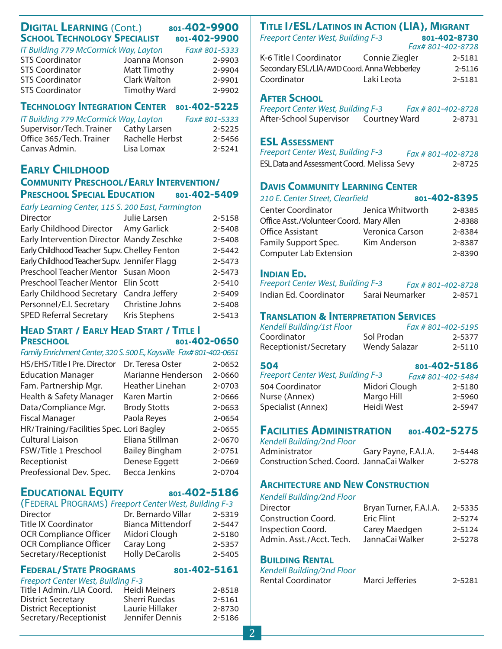### **DIGITAL LEARNING** (Cont.) 801-402-9900 **SCHOOL TECHNOLOGY SPECIALIST 801-402-9900**

| IT Building 779 McCormick Way, Layton |                     | Fax# 801-5333 |
|---------------------------------------|---------------------|---------------|
| <b>STS Coordinator</b>                | Joanna Monson       | 2-9903        |
| <b>STS Coordinator</b>                | <b>Matt Timothy</b> | 2-9904        |
| <b>STS Coordinator</b>                | Clark Walton        | 2-9901        |
| <b>STS Coordinator</b>                | <b>Timothy Ward</b> | 2-9902        |

### **TECHNOLOGY INTEGRATION CENTER 801-402-5225**

| IT Building 779 McCormick Way, Layton |                     | Fax# 801-5333 |
|---------------------------------------|---------------------|---------------|
| Supervisor/Tech. Trainer              | <b>Cathy Larsen</b> | $2 - 5225$    |
| Office 365/Tech. Trainer              | Rachelle Herbst     | 2-5456        |
| Canvas Admin.                         | Lisa Lomax          | 2-5241        |

### **EARLY CHILDHOOD COMMUNITY PRESCHOOL/EARLY INTERVENTION/ PRESCHOOL SPECIAL EDUCATION** 801-402-5409

|  |  | Early Learning Center, 115 S. 200 East, Farmington |
|--|--|----------------------------------------------------|
|  |  |                                                    |

| Director                                     | Julie Larsen         | 2-5158 |
|----------------------------------------------|----------------------|--------|
| Early Childhood Director Amy Garlick         |                      | 2-5408 |
| Early Intervention Director Mandy Zeschke    |                      | 2-5408 |
| Early Childhood Teacher Supv. Chelley Fenton |                      | 2-5442 |
| Early Childhood Teacher Supv. Jennifer Flagg |                      | 2-5473 |
| Preschool Teacher Mentor Susan Moon          |                      | 2-5473 |
| Preschool Teacher Mentor Elin Scott          |                      | 2-5410 |
| Early Childhood Secretary Candra Jeffery     |                      | 2-5409 |
| Personnel/E.I. Secretary                     | Christine Johns      | 2-5408 |
| <b>SPED Referral Secretary</b>               | <b>Kris Stephens</b> | 2-5413 |
|                                              |                      |        |

### **HEAD START / EARLY HEAD START / TITLE I PRESCHOOL 801-402-0650**

### Family Enrichment Center, 320 S. 500 E., Kaysville Fax# 801-402-0651

| HS/EHS/Title I Pre. Director             | Dr. Teresa Oster      | 2-0652 |
|------------------------------------------|-----------------------|--------|
| <b>Education Manager</b>                 | Marianne Henderson    | 2-0660 |
| Fam. Partnership Mgr.                    | Heather Linehan       | 2-0703 |
| Health & Safety Manager                  | Karen Martin          | 2-0666 |
| Data/Compliance Mgr.                     | <b>Brody Stotts</b>   | 2-0653 |
| <b>Fiscal Manager</b>                    | Paola Reyes           | 2-0654 |
| HR/Training/Facilities Spec. Lori Bagley |                       | 2-0655 |
| <b>Cultural Liaison</b>                  | Eliana Stillman       | 2-0670 |
| FSW/Title 1 Preschool                    | <b>Bailey Bingham</b> | 2-0751 |
| Receptionist                             | Denese Eggett         | 2-0669 |
| Preofessional Dev. Spec.                 | <b>Becca Jenkins</b>  | 2-0704 |

### **EDUCATIONAL EQUITY 801-402-5186**

### (FEDERAL PROGRAMS) Freeport Center West, Building F-3

| Director                      | Dr. Bernardo Villar      | 2-5319 |
|-------------------------------|--------------------------|--------|
| <b>Title IX Coordinator</b>   | <b>Bianca Mittendorf</b> | 2-5447 |
| <b>OCR Compliance Officer</b> | Midori Clough            | 2-5180 |
| <b>OCR Compliance Officer</b> | Caray Long               | 2-5357 |
| Secretary/Receptionist        | <b>Holly DeCarolis</b>   | 2-5405 |

### **FEDERAL/STATE PROGRAMS** 801-402-5161

|  | Freeport Center West, Building F-3 |  |
|--|------------------------------------|--|

| <i>Heepon center west, building t</i> 5 |                 |        |
|-----------------------------------------|-----------------|--------|
| Title I Admin./LIA Coord.               | Heidi Meiners   | 2-8518 |
| <b>District Secretary</b>               | Sherri Ruedas   | 2-5161 |
| <b>District Receptionist</b>            | Laurie Hillaker | 2-8730 |
| Secretary/Receptionist                  | Jennifer Dennis | 2-5186 |
|                                         |                 |        |

### **TITLE I/ESL/LATINOS IN ACTION (LIA), MIGRANT** Freeport Center West, Building F-3 **801-402-8730**

| <u>FILEDOIL CEINEI WEST, DUIIUING F-3</u>    |                | 801-402-0750      |
|----------------------------------------------|----------------|-------------------|
|                                              |                | Fax# 801-402-8728 |
| K-6 Title I Coordinator                      | Connie Ziegler | 2-5181            |
| Secondary ESL/LIA/AVID Coord. Anna Webberley |                | 2-5116            |
| Coordinator                                  | Laki Leota     | 2-5181            |
|                                              |                |                   |

### **AFTER SCHOOL**

| <b>Freeport Center West, Building F-3</b> |               | Fax # 801-402-8728 |
|-------------------------------------------|---------------|--------------------|
| After-School Supervisor                   | Courtney Ward | 2-8731             |

### **ESL ASSESSMENT**

| <b>Freeport Center West, Building F-3</b>   | Fax # 801-402-8728 |  |
|---------------------------------------------|--------------------|--|
| ESL Data and Assessment Coord. Melissa Sevy | 2-8725             |  |

### **DAVIS COMMUNITY LEARNING CENTER**

| 210 E. Center Street, Clearfield         |                  | 801-402-8395 |        |
|------------------------------------------|------------------|--------------|--------|
| <b>Center Coordinator</b>                | Jenica Whitworth |              | 2-8385 |
| Office Asst./Volunteer Coord. Mary Allen |                  |              | 2-8388 |
| <b>Office Assistant</b>                  | Veronica Carson  |              | 2-8384 |
| Family Support Spec.                     | Kim Anderson     |              | 2-8387 |
| <b>Computer Lab Extension</b>            |                  |              | 2-8390 |
|                                          |                  |              |        |

### **INDIAN ED.**

| <b>Freeport Center West, Building F-3</b> |                 | Fax # 801-402-8728 |        |
|-------------------------------------------|-----------------|--------------------|--------|
| Indian Ed. Coordinator                    | Sarai Neumarker |                    | 2-8571 |

### **TRANSLATION & INTERPRETATION SERVICES**

| Kendell Building/1st Floor |                      | Fax # 801-402-5195 |
|----------------------------|----------------------|--------------------|
| Coordinator                | Sol Prodan           | 2-5377             |
| Receptionist/Secretary     | <b>Wendy Salazar</b> | 2-5110             |

### **504 801-4[02-51](http://www.davis.k12.ut.us/district/classact/504/index.html)86**

| ___                                       |               | -------------     |
|-------------------------------------------|---------------|-------------------|
| <b>Freeport Center West, Building F-3</b> |               | Fax# 801-402-5484 |
| 504 Coordinator                           | Midori Clough | 2-5180            |
| Nurse (Annex)                             | Margo Hill    | 2-5960            |
| Specialist (Annex)                        | Heidi West    | 2-5947            |

### **FACILITIES ADMINISTRATION 801-402-5275**

| Kendell Building/2nd Floor                 |                      |        |
|--------------------------------------------|----------------------|--------|
| Administrator                              | Gary Payne, F.A.I.A. | 2-5448 |
| Construction Sched. Coord. JannaCai Walker |                      | 2-5278 |

### **ARCHITECTURE AND NEW CONSTRUCTION**

| Kendell Building/2nd Floor |                        |        |
|----------------------------|------------------------|--------|
| Director                   | Bryan Turner, F.A.I.A. | 2-5335 |
| Construction Coord.        | Eric Flint             | 2-5274 |
| <b>Inspection Coord.</b>   | Carey Maedgen          | 2-5124 |
| Admin. Asst./Acct. Tech.   | JannaCai Walker        | 2-5278 |
|                            |                        |        |

### **BUILDING RENTAL**

| Kendell Building/2nd Floor |                 |        |
|----------------------------|-----------------|--------|
| Rental Coordinator         | Marci Jefferies | 2-5281 |

2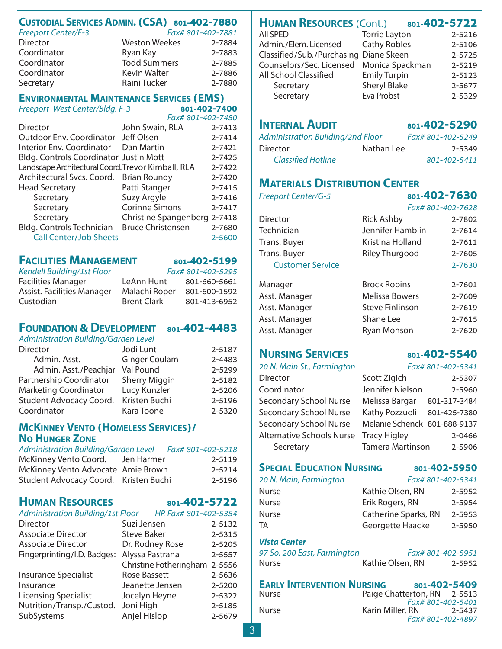### **CUSTODIAL SERVICES ADMIN. (CSA) 801-402-7880**

| <b>Freeport Center/F-3</b> | Fax# 801-402-7881    |        |
|----------------------------|----------------------|--------|
| Director                   | <b>Weston Weekes</b> | 2-7884 |
| Coordinator                | Ryan Kay             | 2-7883 |
| Coordinator                | <b>Todd Summers</b>  | 2-7885 |
| Coordinator                | <b>Kevin Walter</b>  | 2-7886 |
| Secretary                  | Raini Tucker         | 2-7880 |

### **ENVIRONMENTAL MAINTENANCE SERVICES (EMS)**

Freeport West Center/Bldg. F-3 **801-402-7400** 

 $F_{7}$  $F_{8}$  $F_{1}$  $F_{1}$ 

|                                                    | <u>I UA# OUI-40Z-74JU</u>    |        |
|----------------------------------------------------|------------------------------|--------|
| Director                                           | John Swain, RLA              | 2-7413 |
| Outdoor Env. Coordinator Jeff Olsen                |                              | 2-7414 |
| Interior Env. Coordinator Dan Martin               |                              | 2-7421 |
| <b>Bldg. Controls Coordinator Justin Mott</b>      |                              | 2-7425 |
| Landscape Architectural Coord. Trevor Kimball, RLA |                              | 2-7422 |
| Architectural Svcs. Coord. Brian Roundy            |                              | 2-7420 |
| <b>Head Secretary</b>                              | Patti Stanger                | 2-7415 |
| Secretary                                          | Suzy Argyle                  | 2-7416 |
| Secretary                                          | <b>Corinne Simons</b>        | 2-7417 |
| Secretary                                          | Christine Spangenberg 2-7418 |        |
| Bldg. Controls Technician Bruce Christensen        |                              | 2-7680 |
| <b>Call Center/Job Sheets</b>                      |                              | 2-5600 |

### **[FACILITIES MANAGEMENT](http://www.davis.k12.ut.us/district/buildings)** 801-402-5199

### Kendell Building/1st Floor Fax# 801-402-5295 Facilities Manager LeAnn Hunt 801-660-5661 Assist. Facilities Manager Malachi Roper 801-600-1592 Custodian Brent Clark 801-413-6952

### **FOUNDATION & DEVELOPMENT 801-402-4483**

Administration Building/Garden Level

| Director                     | Jodi Lunt            | 2-5187 |
|------------------------------|----------------------|--------|
| Admin. Asst.                 | <b>Ginger Coulam</b> | 2-4483 |
| Admin. Asst./Peachjar        | Val Pound            | 2-5299 |
| Partnership Coordinator      | <b>Sherry Miggin</b> | 2-5182 |
| <b>Marketing Coordinator</b> | Lucy Kunzler         | 2-5206 |
| Student Advocacy Coord.      | Kristen Buchi        | 2-5196 |
| Coordinator                  | Kara Toone           | 2-5320 |

### **MCKINNEY VENTO (HOMELESS SERVICES)/ NO HUNGER ZONE**

| Administration Building/Garden Level  |            | Fax# 801-402-5218 |
|---------------------------------------|------------|-------------------|
| McKinney Vento Coord.                 | Jen Harmer | 2-5119            |
| McKinney Vento Advocate Amie Brown    |            | 2-5214            |
| Student Advocacy Coord. Kristen Buchi |            | 2-5196            |

### **[HUMAN RESOURCES](http://www.davis.k12.ut.us/district/hr/index.html) 801-402-5722**

| <b>Administration Building/1st Floor</b> |                                                       |
|------------------------------------------|-------------------------------------------------------|
| Suzi Jensen                              | 2-5132                                                |
| <b>Steve Baker</b>                       | 2-5315                                                |
| Dr. Rodney Rose                          | 2-5205                                                |
| Alyssa Pastrana                          | 2-5557                                                |
|                                          |                                                       |
| <b>Rose Bassett</b>                      | 2-5636                                                |
| Jeanette Jensen                          | 2-5200                                                |
| Jocelyn Heyne                            | 2-5322                                                |
| Joni High                                | 2-5185                                                |
| Anjel Hislop                             | 2-5679                                                |
|                                          | HR Fax# 801-402-5354<br>Christine Fotheringham 2-5556 |

### **[HUMAN RESOURCES](http://www.davis.k12.ut.us/district/hr/index.html)** (Cont.) 801-402-5722

| All SPED                                 | <b>Torrie Layton</b> | 2-5216     |
|------------------------------------------|----------------------|------------|
| Admin./Elem. Licensed                    | <b>Cathy Robles</b>  | 2-5106     |
| Classified/Sub./Purchasing Diane Skeen   |                      | $2 - 5725$ |
| Counselors/Sec. Licensed Monica Spackman |                      | 2-5219     |
| All School Classified                    | <b>Emily Turpin</b>  | 2-5123     |
| Secretary                                | <b>Sheryl Blake</b>  | 2-5677     |
| Secretary                                | Eva Probst           | 2-5329     |
|                                          |                      |            |

### **INTERNAL AUDIT** 801-402-5290

| <b>Administration Building/2nd Floor</b> |            | Fax# 801-402-5249 |
|------------------------------------------|------------|-------------------|
| <b>Director</b>                          | Nathan Lee | 2-5349            |
| <b>Classified Hotline</b>                |            | 801-402-5411      |

### **[MATERIALS DISTRIBUTION CENTER](http://www.davis.k12.ut.us/district/mdc)**

| P I J I I II U V I I V I I |                        |                   |  |
|----------------------------|------------------------|-------------------|--|
| <b>Freeport Center/G-5</b> |                        | 801-402-7630      |  |
|                            |                        | Fax# 801-402-7628 |  |
| Director                   | <b>Rick Ashby</b>      | 2-7802            |  |
| Technician                 | Jennifer Hamblin       | 2-7614            |  |
| Trans. Buyer               | Kristina Holland       | 2-7611            |  |
| Trans. Buyer               | Riley Thurgood         | 2-7605            |  |
| <b>Customer Service</b>    |                        | 2-7630            |  |
| Manager                    | <b>Brock Robins</b>    | 2-7601            |  |
| Asst. Manager              | Melissa Bowers         | 2-7609            |  |
| Asst. Manager              | <b>Steve Finlinson</b> | 2-7619            |  |
| Asst. Manager              | Shane Lee              | 2-7615            |  |
| Asst. Manager              | <b>Ryan Monson</b>     | 2-7620            |  |

### **NURSING SERVICES** 801-402-5540

20 N. Main St., Farmington Fax# 801-402-5341

| Director                               | Scott Zigich                 | 2-5307       |
|----------------------------------------|------------------------------|--------------|
| Coordinator                            | Jennifer Nielson             | 2-5960       |
| <b>Secondary School Nurse</b>          | Melissa Bargar               | 801-317-3484 |
| Secondary School Nurse                 | Kathy Pozzuoli               | 801-425-7380 |
| Secondary School Nurse                 | Melanie Schenck 801-888-9137 |              |
| Alternative Schools Nurse Tracy Higley |                              | 2-0466       |
| Secretary                              | <b>Tamera Martinson</b>      | 2-5906       |

### **SPECIAL EDUCATION NURSING 801-402-5950**

20 N. Main, Farmington Fax# 801-402-5341 Nurse **Kathie Olsen, RN** 2-5952 Nurse **Erik Rogers, RN** 2-5954 Nurse Catherine Sparks, RN 2-5953 TA Georgette Haacke 2-5950

### **Vista Center**

| 97 So. 200 East, Farmington |                  | Fax# 801-402-5951 |
|-----------------------------|------------------|-------------------|
| Nurse                       | Kathie Olsen, RN | 2-5952            |

|              | <b>EARLY INTERVENTION NURSING</b> |                             |                   | 801-402-5409 |
|--------------|-----------------------------------|-----------------------------|-------------------|--------------|
| <b>Nurse</b> |                                   | Paige Chatterton, RN 2-5513 |                   |              |
|              |                                   |                             | Fax# 801-402-5401 |              |
| <b>Nurse</b> |                                   | Karin Miller, RN            |                   | 2-5437       |
|              |                                   |                             | Fax# 801-402-4897 |              |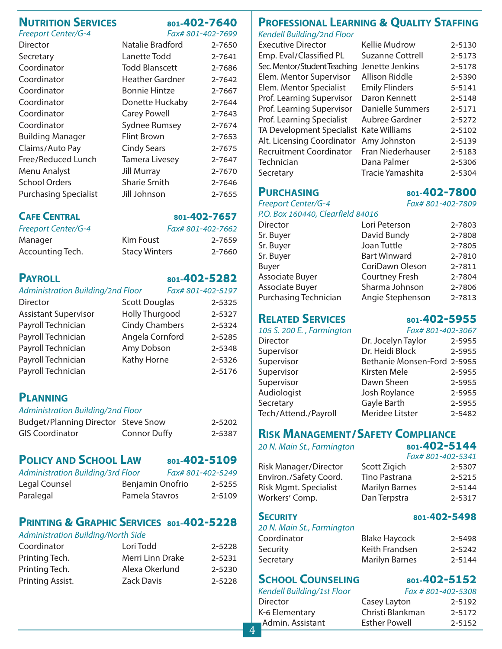### **[NUTRITION SERVICES](http://www.davis.k12.ut.us/district/nutrition)** 801-402-7640

Freeport Center/G-4

| Fax# 801-402-7699 |  |
|-------------------|--|
|-------------------|--|

| Director                     | Natalie Bradford      | 2-7650 |
|------------------------------|-----------------------|--------|
| Secretary                    | Lanette Todd          | 2-7641 |
| Coordinator                  | <b>Todd Blanscett</b> | 2-7686 |
| Coordinator                  | Heather Gardner       | 2-7642 |
| Coordinator                  | <b>Bonnie Hintze</b>  | 2-7667 |
| Coordinator                  | Donette Huckaby       | 2-7644 |
| Coordinator                  | <b>Carey Powell</b>   | 2-7643 |
| Coordinator                  | <b>Sydnee Rumsey</b>  | 2-7674 |
| <b>Building Manager</b>      | <b>Flint Brown</b>    | 2-7653 |
| Claims/Auto Pay              | <b>Cindy Sears</b>    | 2-7675 |
| Free/Reduced Lunch           | <b>Tamera Livesey</b> | 2-7647 |
| Menu Analyst                 | <b>Jill Murray</b>    | 2-7670 |
| <b>School Orders</b>         | <b>Sharie Smith</b>   | 2-7646 |
| <b>Purchasing Specialist</b> | Jill Johnson          | 2-7655 |

### **CAFE CENTRAL 801-402-7657**

| <b>Freeport Center/G-4</b> |                      | Fax# 801-402-7662 |
|----------------------------|----------------------|-------------------|
| Manager                    | Kim Foust            | 2-7659            |
| Accounting Tech.           | <b>Stacy Winters</b> | 2-7660            |

### **PAYROLL [801-402-5282](http://www.davis.k12.ut.us/district/acct/payroll)**

| Administration Building/2nd Floor |                       | Fax# 801-402-5197 |        |
|-----------------------------------|-----------------------|-------------------|--------|
| Director                          | <b>Scott Douglas</b>  |                   | 2-5325 |
| <b>Assistant Supervisor</b>       | <b>Holly Thurgood</b> |                   | 2-5327 |
| Payroll Technician                | <b>Cindy Chambers</b> |                   | 2-5324 |
| Payroll Technician                | Angela Cornford       |                   | 2-5285 |
| Payroll Technician                | Amy Dobson            |                   | 2-5348 |
| Payroll Technician                | Kathy Horne           |                   | 2-5326 |
| Payroll Technician                |                       |                   | 2-5176 |

### **[PL](http://www.davis.k12.ut.us/district/acct/payroll)ANNING**

### Administration Building/2nd Floor

| Budget/Planning Director Steve Snow |                     | 2-5202 |
|-------------------------------------|---------------------|--------|
| <b>GIS Coordinator</b>              | <b>Connor Duffy</b> | 2-5387 |

### **POLICY [AND SCHOOL LAW](http://www.davis.k12.ut.us/policy/manual) 801-402-5109**

| <b>FULICI AND SCHOOL LAW</b>      | 801-4V4-51V7      |  |
|-----------------------------------|-------------------|--|
| Administration Building/3rd Floor | Fax# 801-402-5249 |  |

| Legal Counsel | Benjamin Onofrio | 2-5255 |
|---------------|------------------|--------|
| Paralegal     | Pamela Stavros   | 2-5109 |

### **[PRINTING & GRAPHIC SERVICES](http://www.davis.k12.ut.us/district/printing) 801-402-5228**

### Administration Building/North Side

| Lori Todd        | 2-5228 |
|------------------|--------|
| Merri Linn Drake | 2-5231 |
| Alexa Okerlund   | 2-5230 |
| Zack Davis       | 2-5228 |
|                  |        |

### **PROFESSIONAL LEARNING & QUALITY STAFFING**

Kendell Building/2nd Floor

| <b>Executive Director</b>      | <b>Kellie Mudrow</b>    | 2-5130 |
|--------------------------------|-------------------------|--------|
| Emp. Eval/Classified PL        | <b>Suzanne Cottrell</b> | 2-5173 |
| Sec. Mentor/Student Teaching   | Jenette Jenkins         | 2-5178 |
| Elem. Mentor Supervisor        | <b>Allison Riddle</b>   | 2-5390 |
| Elem. Mentor Specialist        | <b>Emily Flinders</b>   | 5-5141 |
| Prof. Learning Supervisor      | Daron Kennett           | 2-5148 |
| Prof. Learning Supervisor      | Danielle Summers        | 2-5171 |
| Prof. Learning Specialist      | Aubree Gardner          | 2-5272 |
| TA Development Specialist      | <b>Kate Williams</b>    | 2-5102 |
| Alt. Licensing Coordinator     | Amy Johnston            | 2-5139 |
| <b>Recruitment Coordinator</b> | Fran Niederhauser       | 2-5183 |
| Technician                     | Dana Palmer             | 2-5306 |
| Secretary                      | Tracie Yamashita        | 2-5304 |

Freeport Center/G-4 Fax# 801-402-7809 P.O. Box 160440, Clearfield 84016

| r.O. DOX 100440, Cledifield 64010 |                       |        |
|-----------------------------------|-----------------------|--------|
| <b>Director</b>                   | Lori Peterson         | 2-7803 |
| Sr. Buyer                         | David Bundy           | 2-7808 |
| Sr. Buyer                         | Joan Tuttle           | 2-7805 |
| Sr. Buyer                         | <b>Bart Winward</b>   | 2-7810 |
| Buyer                             | CoriDawn Oleson       | 2-7811 |
| Associate Buyer                   | <b>Courtney Fresh</b> | 2-7804 |
| Associate Buyer                   | Sharma Johnson        | 2-7806 |
| Purchasing Technician             | Angie Stephenson      | 2-7813 |
|                                   |                       |        |

### **RELATED SERVICES [801-402-5](http://www.davis.k12.ut.us/district/classact/504/index.html)955**

| Fax# 801-402-3067           |
|-----------------------------|
| 2-5955                      |
| 2-5955                      |
| Bethanie Monsen-Ford 2-5955 |
| 2-5955                      |
| 2-5955                      |
| 2-5955                      |
| 2-5955                      |
| 2-5482                      |
|                             |

### **[RISK MANAGEMENT/SAFETY COMPLIANCE](http://www.davis.k12.ut.us/district/rmsc)**

20 N. Main St., Farmington **[801-402-5144](http://www.davis.k12.ut.us/district/rmsc)** 

|                              |                       | Fax# 801-402-5341 |
|------------------------------|-----------------------|-------------------|
| <b>Risk Manager/Director</b> | Scott Zigich          | 2-5307            |
| Environ./Safety Coord.       | Tino Pastrana         | 2-5215            |
| Risk Mgmt. Specialist        | <b>Marilyn Barnes</b> | 2-5144            |
| Workers' Comp.               | Dan Terpstra          | 2-5317            |

### **SECURITY [801-4](http://www.davis.k12.ut.us/district/purchasing)02-5498**

4

### 20 N. Main St., Farmington

| Coordinator | <b>Blake Haycock</b>  | 2-5498 |
|-------------|-----------------------|--------|
| Security    | Keith Frandsen        | 2-5242 |
| Secretary   | <b>Marilyn Barnes</b> | 2-5144 |

### **SCHOOL COUNSELING 801-402-5152**

| Kendell Building/1st Floor |                      | Fax #801-402-5308 |
|----------------------------|----------------------|-------------------|
| <b>Director</b>            | Casey Layton         | 2-5192            |
| K-6 Elementary             | Christi Blankman     | 2-5172            |
| ∎Admin. Assistant          | <b>Esther Powell</b> | 2-5152            |

### **PURCHASING [801-402-7800](http://www.davis.k12.ut.us/district/purchasing)**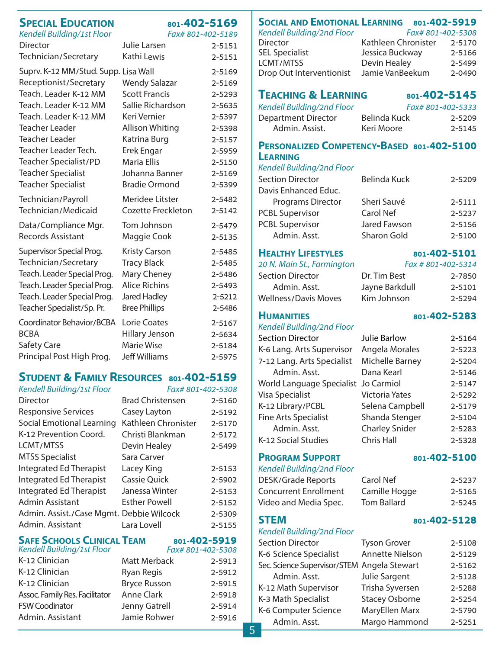### **SPECIAL EDUCATION 801-402-5169**

Kendell Building/1st Floor Fax# 801-402-5189

| Director                                                                                                                                                                                                     | Julie Larsen                                                                                                                       | 2-5151                                                                       |
|--------------------------------------------------------------------------------------------------------------------------------------------------------------------------------------------------------------|------------------------------------------------------------------------------------------------------------------------------------|------------------------------------------------------------------------------|
| Technician/Secretary                                                                                                                                                                                         | Kathi Lewis                                                                                                                        | 2-5151                                                                       |
| Suprv. K-12 MM/Stud. Supp. Lisa Wall<br>Receptionist/Secretary<br>Teach. Leader K-12 MM<br>Teach. Leader K-12 MM<br>Teach. Leader K-12 MM<br><b>Teacher Leader</b><br>Teacher Leader<br>Teacher Leader Tech. | <b>Wendy Salazar</b><br><b>Scott Francis</b><br>Sallie Richardson<br>Keri Vernier<br>Allison Whiting<br>Katrina Burg<br>Erek Engar | 2-5169<br>2-5169<br>2-5293<br>2-5635<br>2-5397<br>2-5398<br>2-5157<br>2-5959 |
| Teacher Specialist/PD                                                                                                                                                                                        | Maria Ellis                                                                                                                        | 2-5150                                                                       |
| <b>Teacher Specialist</b>                                                                                                                                                                                    | Johanna Banner                                                                                                                     | 2-5169                                                                       |
| <b>Teacher Specialist</b>                                                                                                                                                                                    | <b>Bradie Ormond</b>                                                                                                               | 2-5399                                                                       |
| Technician/Payroll                                                                                                                                                                                           | Meridee Litster                                                                                                                    | 2-5482                                                                       |
| Technician/Medicaid                                                                                                                                                                                          | <b>Cozette Freckleton</b>                                                                                                          | 2-5142                                                                       |
| Data/Compliance Mgr.                                                                                                                                                                                         | Tom Johnson                                                                                                                        | 2-5479                                                                       |
| <b>Records Assistant</b>                                                                                                                                                                                     | Maggie Cook                                                                                                                        | 2-5135                                                                       |
| Supervisor Special Prog.                                                                                                                                                                                     | <b>Kristy Carson</b>                                                                                                               | 2-5485                                                                       |
| Technician/Secretary                                                                                                                                                                                         | <b>Tracy Black</b>                                                                                                                 | 2-5485                                                                       |
| Teach. Leader Special Prog.                                                                                                                                                                                  | Mary Cheney                                                                                                                        | 2-5486                                                                       |
| Teach. Leader Special Prog.                                                                                                                                                                                  | <b>Alice Richins</b>                                                                                                               | 2-5493                                                                       |
| Teach. Leader Special Prog.                                                                                                                                                                                  | Jared Hadley                                                                                                                       | 2-5212                                                                       |
| Teacher Specialist/Sp. Pr.                                                                                                                                                                                   | <b>Bree Phillips</b>                                                                                                               | 2-5486                                                                       |
| Coordinator Behavior/BCBA                                                                                                                                                                                    | Lorie Coates                                                                                                                       | 2-5167                                                                       |
| <b>BCBA</b>                                                                                                                                                                                                  | Hillary Jenson                                                                                                                     | 2-5634                                                                       |
| Safety Care                                                                                                                                                                                                  | <b>Marie Wise</b>                                                                                                                  | 2-5184                                                                       |
| Principal Post High Prog.                                                                                                                                                                                    | <b>Jeff Williams</b>                                                                                                               | 2-5975                                                                       |

### **STUDENT & FAMILY RESOURCES 801-[402-5159](http://www.davis.k12.ut.us/studentserv/INDEX.HTM)**

| Kendell Building/1st Floor               | Fax# 801-402-5308       |        |
|------------------------------------------|-------------------------|--------|
| Director                                 | <b>Brad Christensen</b> | 2-5160 |
| <b>Responsive Services</b>               | Casey Layton            | 2-5192 |
| Social Emotional Learning                | Kathleen Chronister     | 2-5170 |
| K-12 Prevention Coord.                   | Christi Blankman        | 2-5172 |
| LCMT/MTSS                                | Devin Healey            | 2-5499 |
| <b>MTSS Specialist</b>                   | Sara Carver             |        |
| Integrated Ed Therapist                  | Lacey King              | 2-5153 |
| <b>Integrated Ed Therapist</b>           | <b>Cassie Quick</b>     | 2-5902 |
| Integrated Ed Therapist                  | Janessa Winter          | 2-5153 |
| Admin Assistant                          | <b>Esther Powell</b>    | 2-5152 |
| Admin. Assist./Case Mgmt. Debbie Wilcock |                         | 2-5309 |
| Admin, Assistant                         | Lara Lovell             | 2-5155 |

### **SAFE SCHOOLS CLINICAL TEAM 801-402-5919**

| Kendell Building/1st Floor     |                     | Fax# 801-402-5308 |
|--------------------------------|---------------------|-------------------|
| K-12 Clinician                 | Matt Merback        | 2-5913            |
| K-12 Clinician                 | Ryan Regis          | 2-5912            |
| K-12 Clinician                 | <b>Bryce Russon</b> | 2-5915            |
| Assoc. Family Res. Facilitator | Anne Clark          | 2-5918            |
| <b>FSW Coodinator</b>          | Jenny Gatrell       | 2-5914            |
| Admin. Assistant               | Jamie Rohwer        | 2-5916            |

### K-12 Clinician Ryan Regis 2-5912 Admin. Assistant Jamie Rohwer 2-5916 **SOCIAL AND EMOTIONAL LEARNING 801-402-5919**  Kendell Building/2nd Floor Fax# 801-402-5308 Director Kathleen Chronister 2-5170 SEL Specialist **Jessica Buckway** 2-5166 LCMT/MTSS Devin Healey 2-5499<br>Drop Out Interventionist Jamie VanBeekum 2-0490 Drop Out Interventionist Jamie VanBeekum 2-0490 **[TEACHING & LEARNING](http://www.davis.k12.ut.us/district/curric) 801-402-5145** Kendell Building/2nd Floor Fax# 801-402-5333 Department Director Belinda Kuck 2-5209 Admin. Assist. Keri Moore 2-5145 **PERSONALIZED COMPETENCY-BASED 801-402-5100 LEARNING** Kendell Building/2nd Floor Section Director Belinda Kuck 2-5209 Davis Enhanced Educ. Programs Director Sheri Sauvé 2-5111 PCBL Supervisor Carol Nef 2-5237 PCBL Supervisor Jared Fawson 2-5156 Admin. Asst. Sharon Gold 2-5100 **HEALTHY LIFESTYLES** 801-402-5101 20 N. Main St., Farmington Fax # 801-402-5314 Section Director **Dr. Tim Best** 2-7850 Admin. Asst. Jayne Barkdull 2-5101 Wellness/Davis Moves Kim Johnson 2-5294 **HUMANITIES 801-402-5283** Kendell Building/2nd Floor Section Director Julie Barlow 2-5164 K-6 Lang. Arts Supervisor Angela Morales 2-5223 7-12 Lang. Arts Specialist Michelle Barney 2-5204 Admin. Asst. **Dana Kearl** 2-5146 World Language Specialist Jo Carmiol 2-5147 Visa Specialist Victoria Yates 2-5292 K-12 Library/PCBL Selena Campbell 2-5179 Fine Arts Specialist Shanda Stenger 2-5104 Admin. Asst. Charley Snider 2-5283 K-12 Social Studies Chris Hall 2-5328 **PROGRAM SUPPORT** 801-402-5100 Kendell Building/2nd Floor DESK/Grade Reports Carol Nef 2-5237 Concurrent Enrollment Camille Hogge 2-5165 Video and Media Spec. Tom Ballard 2-5245 **STEM 801-402-5128** Kendell Building/2nd Floor Section Director Tyson Grover 2-5108 K-6 Science Specialist Annette Nielson 2-5129 Sec. Science Supervisor/STEM Angela Stewart 2-5162 Admin. Asst. Julie Sargent 2-5128 K-12 Math Supervisor Trisha Syversen 2-5288 K-3 Math Specialist Stacey Osborne 2-5254 K-6 Computer Science MaryEllen Marx 2-5790 Admin. Asst. Margo Hammond 2-5251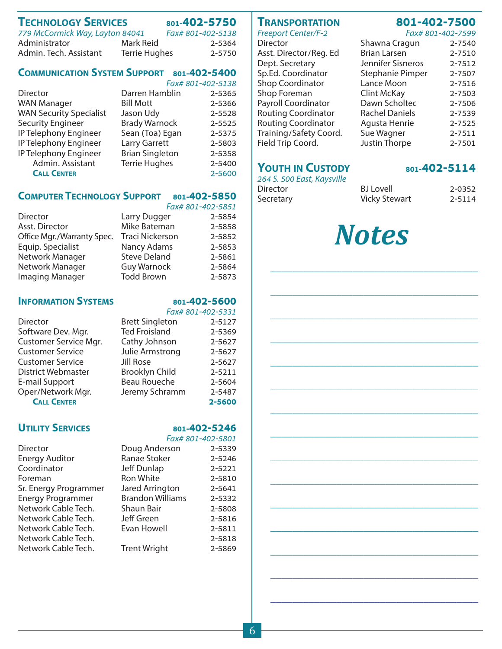### **TECHNOLOGY SERVICES [801-4](http://www.davis.k12.ut.us/district/purchasing)02-5750**

| 779 McCormick Way, Layton 84041 |                      | Fax# 801-402-5138 |
|---------------------------------|----------------------|-------------------|
| Administrator                   | Mark Reid            | 2-5364            |
| Admin. Tech. Assistant          | <b>Terrie Hughes</b> | 2-5750            |

### **COMMUNICATION SYSTEM SUPPORT 801-402-5400**

|                                |                        | Fax# 801-402-5138 |
|--------------------------------|------------------------|-------------------|
| Director                       | Darren Hamblin         | 2-5365            |
| <b>WAN Manager</b>             | <b>Bill Mott</b>       | 2-5366            |
| <b>WAN Security Specialist</b> | Jason Udy              | 2-5528            |
| <b>Security Engineer</b>       | <b>Brady Warnock</b>   | 2-5525            |
| IP Telephony Engineer          | Sean (Toa) Egan        | 2-5375            |
| IP Telephony Engineer          | Larry Garrett          | 2-5803            |
| IP Telephony Engineer          | <b>Brian Singleton</b> | 2-5358            |
| Admin. Assistant               | <b>Terrie Hughes</b>   | 2-5400            |
| <b>CALL CENTER</b>             |                        | 2-5600            |
|                                |                        |                   |

### **COMPUTER TECHNOLOGY SUPPORT 801-402-5850**

|                            |                        | Fax# 801-402-5851 |
|----------------------------|------------------------|-------------------|
| <b>Director</b>            | Larry Dugger           | 2-5854            |
| Asst. Director             | Mike Bateman           | 2-5858            |
| Office Mgr./Warranty Spec. | <b>Traci Nickerson</b> | 2-5852            |
| Equip. Specialist          | Nancy Adams            | 2-5853            |
| Network Manager            | <b>Steve Deland</b>    | 2-5861            |
| Network Manager            | <b>Guy Warnock</b>     | 2-5864            |
| Imaging Manager            | <b>Todd Brown</b>      | 2-5873            |

### **INFORMATION SYSTEMS 801-402-5600**

|                         |                        | Fax# 801-402-5331 |  |  |
|-------------------------|------------------------|-------------------|--|--|
| Director                | <b>Brett Singleton</b> | 2-5127            |  |  |
| Software Dev. Mgr.      | <b>Ted Froisland</b>   | 2-5369            |  |  |
| Customer Service Mgr.   | Cathy Johnson          | 2-5627            |  |  |
| Customer Service        | Julie Armstrong        | 2-5627            |  |  |
| <b>Customer Service</b> | Jill Rose              | 2-5627            |  |  |
| District Webmaster      | <b>Brooklyn Child</b>  | 2-5211            |  |  |
| E-mail Support          | Beau Roueche           | 2-5604            |  |  |
| Oper/Network Mgr.       | Jeremy Schramm         | 2-5487            |  |  |
| <b>CALL CENTER</b>      |                        | 2-5600            |  |  |

### **UTILITY SERVICES**

|                          |                         | <u>I UA# OUI-40Z-JOUI</u> |
|--------------------------|-------------------------|---------------------------|
| Director                 | Doug Anderson           | 2-5339                    |
| <b>Energy Auditor</b>    | Ranae Stoker            | 2-5246                    |
| Coordinator              | Jeff Dunlap             | 2-5221                    |
| Foreman                  | Ron White               | 2-5810                    |
| Sr. Energy Programmer    | Jared Arrington         | 2-5641                    |
| <b>Energy Programmer</b> | <b>Brandon Williams</b> | 2-5332                    |
| Network Cable Tech.      | Shaun Bair              | 2-5808                    |
| Network Cable Tech.      | <b>Jeff Green</b>       | 2-5816                    |
| Network Cable Tech.      | Evan Howell             | 2-5811                    |
| Network Cable Tech.      |                         | 2-5818                    |
| Network Cable Tech.      | <b>Trent Wright</b>     | 2-5869                    |
|                          |                         |                           |

### **TRANSPORTATION 801-402-7500**

Freeport Center/F-2 Fax# 801-402-7599<br>Director Faxt Shawna Cragun 2-7540 Asst. Director/Reg. Ed Dept. Secretary Sp.Ed. Coordinator Shop Coordinator Shop Foreman Payroll Coordinator Routing Coordinator Routing Coordinator Training/Safety Coord. Field Trip Coord. Justi

### **YOUTH IN CUSTODY [801-402-5](http://www.davis.k12.ut.us/trans/Index.htm)114**

| 264 S. 500 East, Kaysville |                      |        |
|----------------------------|----------------------|--------|
| Director                   | <b>BJ</b> Lovell     | 2-0352 |
| Secretary                  | <b>Vicky Stewart</b> | 2-5114 |

# *Notes*

\_\_\_\_\_\_\_\_\_\_\_\_\_\_\_\_\_\_\_\_\_\_\_\_\_\_\_\_\_\_\_\_\_\_\_\_\_\_

\_\_\_\_\_\_\_\_\_\_\_\_\_\_\_\_\_\_\_\_\_\_\_\_\_\_\_\_\_\_\_\_\_\_\_\_\_\_

\_\_\_\_\_\_\_\_\_\_\_\_\_\_\_\_\_\_\_\_\_\_\_\_\_\_\_\_\_\_\_\_\_\_\_\_\_\_

\_\_\_\_\_\_\_\_\_\_\_\_\_\_\_\_\_\_\_\_\_\_\_\_\_\_\_\_\_\_\_\_\_\_\_\_\_\_

\_\_\_\_\_\_\_\_\_\_\_\_\_\_\_\_\_\_\_\_\_\_\_\_\_\_\_\_\_\_\_\_\_\_\_\_\_\_

\_\_\_\_\_\_\_\_\_\_\_\_\_\_\_\_\_\_\_\_\_\_\_\_\_\_\_\_\_\_\_\_\_\_\_\_\_\_

\_\_\_\_\_\_\_\_\_\_\_\_\_\_\_\_\_\_\_\_\_\_\_\_\_\_\_\_\_\_\_\_\_\_\_\_\_\_

\_\_\_\_\_\_\_\_\_\_\_\_\_\_\_\_\_\_\_\_\_\_\_\_\_\_\_\_\_\_\_\_\_\_\_\_\_\_

\_\_\_\_\_\_\_\_\_\_\_\_\_\_\_\_\_\_\_\_\_\_\_\_\_\_\_\_\_\_\_\_\_\_\_\_\_\_

\_\_\_\_\_\_\_\_\_\_\_\_\_\_\_\_\_\_\_\_\_\_\_\_\_\_\_\_\_\_\_\_\_\_\_\_\_\_

\_\_\_\_\_\_\_\_\_\_\_\_\_\_\_\_\_\_\_\_\_\_\_\_\_\_\_\_\_\_\_\_\_\_\_\_\_\_

|  |  |  | Fax# 801-402-7599 |
|--|--|--|-------------------|
|--|--|--|-------------------|

| Shawna Cragun       | 2-7540 |
|---------------------|--------|
| <b>Brian Larsen</b> | 2-7510 |
| Jennifer Sisneros   | 2-7512 |
| Stephanie Pimper    | 2-7507 |
| Lance Moon          | 2-7516 |
| <b>Clint McKay</b>  | 2-7503 |
| Dawn Scholtec       | 2-7506 |
| Rachel Daniels      | 2-7539 |
| Agusta Henrie       | 2-7525 |
| Sue Wagner          | 2-7511 |
| Justin Thorpe       | 2-7501 |

| Brookiyn Child      | 2-5211            |
|---------------------|-------------------|
| <b>Beau Roueche</b> | 2-5604            |
| Jeremy Schramm      | 2-5487            |
|                     | 2-5600            |
|                     | 801-402-5246      |
|                     | Fax# 801-402-5801 |
| Doug Anderson       | 2-5339            |
|                     |                   |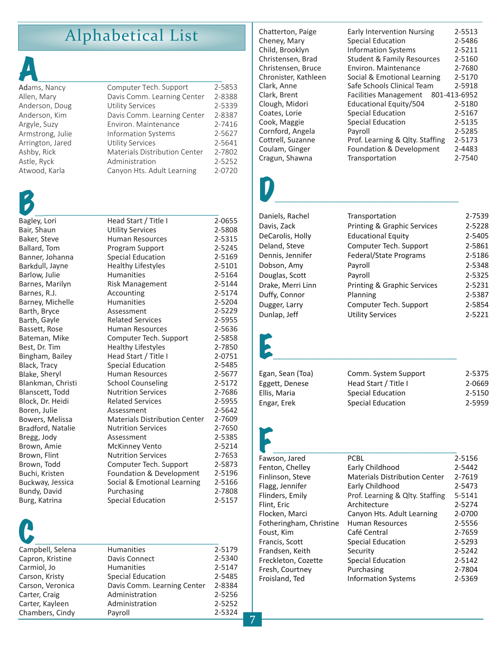### Alphabetical List

| Adams, Nancy     | Computer Tech. Support               | 2-5853 |
|------------------|--------------------------------------|--------|
| Allen, Mary      | Davis Comm. Learning Center          | 2-8388 |
| Anderson, Doug   | <b>Utility Services</b>              | 2-5339 |
| Anderson, Kim    | Davis Comm. Learning Center          | 2-8387 |
| Argyle, Suzy     | Environ, Maintenance                 | 2-7416 |
| Armstrong, Julie | <b>Information Systems</b>           | 2-5627 |
| Arrington, Jared | <b>Utility Services</b>              | 2-5641 |
| Ashby, Rick      | <b>Materials Distribution Center</b> | 2-7802 |
| Astle, Ryck      | Administration                       | 2-5252 |
| Atwood, Karla    | Canyon Hts. Adult Learning           | 2-0720 |

| Bagley, Lori      | Head Start / Title I                 | 2-0655 |
|-------------------|--------------------------------------|--------|
| Bair, Shaun       | <b>Utility Services</b>              | 2-5808 |
| Baker, Steve      | <b>Human Resources</b>               | 2-5315 |
| Ballard, Tom      | Program Support                      | 2-5245 |
| Banner, Johanna   | <b>Special Education</b>             | 2-5169 |
| Barkdull, Jayne   | <b>Healthy Lifestyles</b>            | 2-5101 |
| Barlow, Julie     | <b>Humanities</b>                    | 2-5164 |
| Barnes, Marilyn   | <b>Risk Management</b>               | 2-5144 |
| Barnes, R.J.      | Accounting                           | 2-5174 |
| Barney, Michelle  | <b>Humanities</b>                    | 2-5204 |
| Barth, Bryce      | Assessment                           | 2-5229 |
| Barth, Gayle      | <b>Related Services</b>              | 2-5955 |
| Bassett, Rose     | <b>Human Resources</b>               | 2-5636 |
| Bateman, Mike     | Computer Tech. Support               | 2-5858 |
| Best, Dr. Tim     | <b>Healthy Lifestyles</b>            | 2-7850 |
| Bingham, Bailey   | Head Start / Title I                 | 2-0751 |
| Black, Tracy      | <b>Special Education</b>             | 2-5485 |
| Blake, Sheryl     | <b>Human Resources</b>               | 2-5677 |
| Blankman, Christi | <b>School Counseling</b>             | 2-5172 |
| Blanscett, Todd   | <b>Nutrition Services</b>            | 2-7686 |
| Block, Dr. Heidi  | <b>Related Services</b>              | 2-5955 |
| Boren, Julie      | Assessment                           | 2-5642 |
| Bowers, Melissa   | <b>Materials Distribution Center</b> | 2-7609 |
| Bradford, Natalie | <b>Nutrition Services</b>            | 2-7650 |
| Bregg, Jody       | Assessment                           | 2-5385 |
| Brown, Amie       | <b>McKinney Vento</b>                | 2-5214 |
| Brown, Flint      | <b>Nutrition Services</b>            | 2-7653 |
| Brown, Todd       | Computer Tech. Support               | 2-5873 |
| Buchi, Kristen    | Foundation & Development             | 2-5196 |
| Buckway, Jessica  | Social & Emotional Learning          | 2-5166 |
| Bundy, David      | Purchasing                           | 2-7808 |
| Burg, Katrina     | <b>Special Education</b>             | 2-5157 |

| Campbell, Selena | <b>Humanities</b>           | 2-5179 |
|------------------|-----------------------------|--------|
| Capron, Kristine | Davis Connect               | 2-5340 |
| Carmiol, Jo      | <b>Humanities</b>           | 2-5147 |
| Carson, Kristy   | <b>Special Education</b>    | 2-5485 |
| Carson, Veronica | Davis Comm. Learning Center | 2-8384 |
| Carter, Craig    | Administration              | 2-5256 |
| Carter, Kayleen  | Administration              | 2-5252 |
| Chambers, Cindy  | Payroll                     | 2-5324 |
|                  |                             |        |

Chatterton, Paige Cheney, Mary Child, Brooklyn Christensen, Brad Christensen, Bruce Chronister, Kathleen Clark, Anne Clark, Brent Clough, Midori Coates, Lorie Cook, Maggie Cornford, Angela Cottrell, Suzanne Coulam, Ginger Cragun, Shawna

| 2-5513       |
|--------------|
| 2-5486       |
| 2-5211       |
| 2-5160       |
| 2-7680       |
| 2-5170       |
| 2-5918       |
| 801-413-6952 |
| 2-5180       |
| 2-5167       |
| 2-5135       |
| 2-5285       |
| 2-5173       |
| 2-4483       |
| 2-7540       |
|              |

# $\overline{\mathbf{D}}$  , and the set of  $\overline{\mathbf{D}}$  , and the set of  $\overline{\mathbf{D}}$

Daniels, Rachel Davis, Zack DeCarolis, Holly Deland, Steve Dennis, Jennifer Dobson, Amy Douglas, Scott Drake, Merri Linn Duffy, Connor Dugger, Larry Dunlap, Jeff

| Transportation                         | 2-7539 |
|----------------------------------------|--------|
| <b>Printing &amp; Graphic Services</b> | 2-5228 |
| <b>Educational Equity</b>              | 2-5405 |
| Computer Tech. Support                 | 2-5861 |
| <b>Federal/State Programs</b>          | 2-5186 |
| Payroll                                | 2-5348 |
| Payroll                                | 2-5325 |
| <b>Printing &amp; Graphic Services</b> | 2-5231 |
| Planning                               | 2-5387 |
| Computer Tech. Support                 | 2-5854 |
| Utility Services                       | 2-5221 |

# $E_{\perp}$

Egan, Sean (Toa) Comm. System Support 2-5375 Eggett, Denese Head Start / Title I 2-0669 Ellis, Maria Special Education 2-5150 Engar, Erek Special Education 2-5959

 $F_{\text{Suyson}}$  and  $F_{\text{Suyson}}$  and  $F_{\text{Suyon}}$ Fawson, Jared Fenton, Chelley Finlinson, Steve Flagg, Jennifer Flinders, Emily. Flint, Eric Flocken, Marci Fotheringham, Christine Foust, Kim Francis, Scott Frandsen, Keith Freckleton, Cozette Fresh, Courtney Froisland, Ted

| PCBL                                 | 2-5156 |
|--------------------------------------|--------|
| Early Childhood                      | 2-5442 |
| <b>Materials Distribution Center</b> | 2-7619 |
| Early Childhood                      | 2-5473 |
| Prof. Learning & Qlty. Staffing      | 5-5141 |
| Architecture                         | 2-5274 |
| Canyon Hts. Adult Learning           | 2-0700 |
| <b>Human Resources</b>               | 2-5556 |
| Café Central                         | 2-7659 |
| <b>Special Education</b>             | 2-5293 |
| Security                             | 2-5242 |
| <b>Special Education</b>             | 2-5142 |
| Purchasing                           | 2-7804 |
| Information Systems                  | 2-5369 |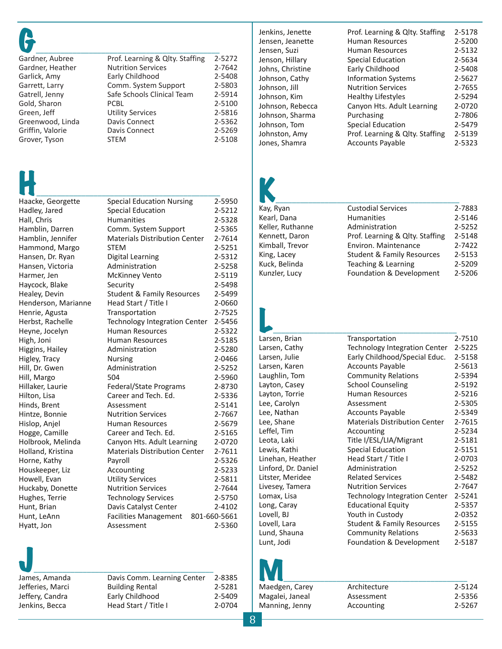| Gardner, Aubree  | Prof. Learning & Qlty. Staffing | 2-5272 |
|------------------|---------------------------------|--------|
| Gardner, Heather | <b>Nutrition Services</b>       | 2-7642 |
| Garlick, Amy     | Early Childhood                 | 2-5408 |
| Garrett, Larry   | Comm. System Support            | 2-5803 |
| Gatrell, Jenny   | Safe Schools Clinical Team      | 2-5914 |
| Gold, Sharon     | <b>PCBL</b>                     | 2-5100 |
| Green, Jeff      | <b>Utility Services</b>         | 2-5816 |
| Greenwood, Linda | Davis Connect                   | 2-5362 |
| Griffin, Valorie | Davis Connect                   | 2-5269 |
| Grover, Tyson    | <b>STEM</b>                     | 2-5108 |

| Haacke, Georgette   | <b>Special Education Nursing</b>      | 2-5950       |
|---------------------|---------------------------------------|--------------|
| Hadley, Jared       | <b>Special Education</b>              | 2-5212       |
| Hall, Chris         | <b>Humanities</b>                     | 2-5328       |
| Hamblin, Darren     | Comm. System Support                  | 2-5365       |
| Hamblin, Jennifer   | <b>Materials Distribution Center</b>  | 2-7614       |
| Hammond, Margo      | <b>STEM</b>                           | 2-5251       |
| Hansen, Dr. Ryan    | <b>Digital Learning</b>               | 2-5312       |
| Hansen, Victoria    | Administration                        | 2-5258       |
| Harmer, Jen         | <b>McKinney Vento</b>                 | 2-5119       |
| Haycock, Blake      | Security                              | 2-5498       |
| Healey, Devin       | <b>Student &amp; Family Resources</b> | 2-5499       |
| Henderson, Marianne | Head Start / Title I                  | 2-0660       |
| Henrie, Agusta      | Transportation                        | 2-7525       |
| Herbst, Rachelle    | <b>Technology Integration Center</b>  | 2-5456       |
| Heyne, Jocelyn      | <b>Human Resources</b>                | 2-5322       |
| High, Joni          | Human Resources                       | 2-5185       |
| Higgins, Hailey     | Administration                        | 2-5280       |
| Higley, Tracy       | <b>Nursing</b>                        | 2-0466       |
| Hill, Dr. Gwen      | Administration                        | 2-5252       |
| Hill, Margo         | 504                                   | 2-5960       |
| Hillaker, Laurie    | Federal/State Programs                | 2-8730       |
| Hilton, Lisa        | Career and Tech. Ed.                  | 2-5336       |
| Hinds, Brent        | Assessment                            | 2-5141       |
| Hintze, Bonnie      | <b>Nutrition Services</b>             | 2-7667       |
| Hislop, Anjel       | Human Resources                       | 2-5679       |
| Hogge, Camille      | Career and Tech. Ed.                  | 2-5165       |
| Holbrook, Melinda   | Canyon Hts. Adult Learning            | 2-0720       |
| Holland, Kristina   | <b>Materials Distribution Center</b>  | 2-7611       |
| Horne, Kathy        | Payroll                               | 2-5326       |
| Houskeeper, Liz     | Accounting                            | 2-5233       |
| Howell, Evan        | <b>Utility Services</b>               | 2-5811       |
| Huckaby, Donette    | <b>Nutrition Services</b>             | 2-7644       |
| Hughes, Terrie      | <b>Technology Services</b>            | 2-5750       |
| Hunt, Brian         | Davis Catalyst Center                 | 2-4102       |
| Hunt, LeAnn         | <b>Facilities Management</b>          | 801-660-5661 |
| Hyatt, Jon          | Assessment                            | 2-5360       |

 $\overline{\phantom{a}}$ Jenkins, Becca

| James, Amanda    | Davis Comm. Learning Center | 2-8385 |
|------------------|-----------------------------|--------|
| Jefferies, Marci | <b>Building Rental</b>      | 2-5281 |
| Jeffery, Candra  | Early Childhood             | 2-5409 |
| Jenkins, Becca   | Head Start / Title I        | 2-0704 |
|                  |                             |        |

Jenkins, Jenette Jensen, Jeanette Jensen, Suzi Jenson, Hillary Johns, Christine Johnson, Cathy Johnson, Jill Johnson, Kim Johnson, Rebecca Johnson, Sharma Johnson, Tom Johnston, Amy Jones, Shamra

| 2-5178 |
|--------|
| 2-5200 |
| 2-5132 |
| 2-5634 |
| 2-5408 |
| 2-5627 |
| 2-7655 |
| 2-5294 |
| 2-0720 |
| 2-7806 |
| 2-5479 |
| 2-5139 |
| 2-5323 |
|        |

# Kay, Ryan

| <b>Custodial Services</b>             | 2-7883 |
|---------------------------------------|--------|
| <b>Humanities</b>                     | 2-5146 |
| Administration                        | 2-5252 |
| Prof. Learning & Qlty. Staffing       | 2-5148 |
| Environ. Maintenance                  | 2-7422 |
| <b>Student &amp; Family Resources</b> | 2-5153 |
| Teaching & Learning                   | 2-5209 |
| Foundation & Development              | 2-5206 |
|                                       |        |

| Larsen, Brian       | Transportation                        | 2-7510 |
|---------------------|---------------------------------------|--------|
| Larsen, Cathy       | <b>Technology Integration Center</b>  | 2-5225 |
| Larsen, Julie       | Early Childhood/Special Educ.         | 2-5158 |
| Larsen, Karen       | <b>Accounts Payable</b>               | 2-5613 |
| Laughlin, Tom       | <b>Community Relations</b>            | 2-5394 |
| Layton, Casey       | <b>School Counseling</b>              | 2-5192 |
| Layton, Torrie      | <b>Human Resources</b>                | 2-5216 |
| Lee, Carolyn        | Assessment                            | 2-5305 |
| Lee, Nathan         | <b>Accounts Payable</b>               | 2-5349 |
| Lee, Shane          | <b>Materials Distribution Center</b>  | 2-7615 |
| Leffel, Tim         | Accounting                            | 2-5234 |
| Leota, Laki         | Title I/ESL/LIA/Migrant               | 2-5181 |
| Lewis, Kathi        | <b>Special Education</b>              | 2-5151 |
| Linehan, Heather    | Head Start / Title I                  | 2-0703 |
| Linford, Dr. Daniel | Administration                        | 2-5252 |
| Litster, Meridee    | <b>Related Services</b>               | 2-5482 |
| Livesey, Tamera     | <b>Nutrition Services</b>             | 2-7647 |
| Lomax, Lisa         | Technology Integration Center         | 2-5241 |
| Long, Caray         | <b>Educational Equity</b>             | 2-5357 |
| Lovell, BJ          | Youth in Custody                      | 2-0352 |
| Lovell, Lara        | <b>Student &amp; Family Resources</b> | 2-5155 |
| Lund, Shauna        | <b>Community Relations</b>            | 2-5633 |
| Lunt, Jodi          | Foundation & Development              | 2-5187 |
|                     |                                       |        |

M\_\_\_\_\_\_\_\_\_\_\_\_\_\_\_\_\_\_\_\_\_\_\_\_\_\_\_\_\_\_\_\_\_\_\_\_\_\_\_\_\_\_\_\_\_ Maedgen, Carey Architecture 2-5124 Magalei, Janeal Assessment 2-5356 Manning, Jenny Accounting 2-5267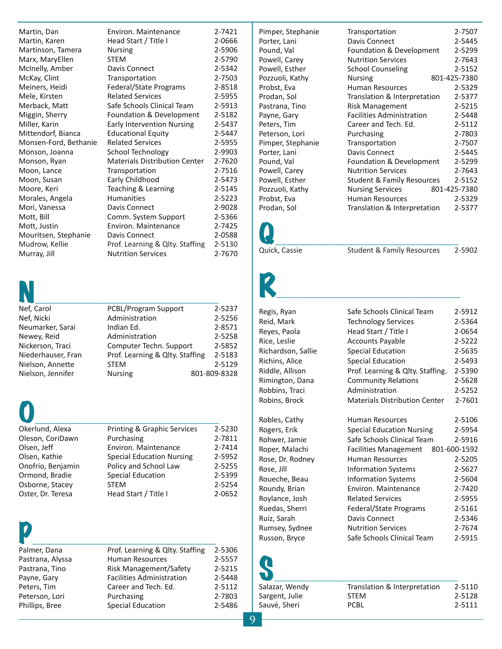| Martin, Dan           | Environ, Maintenance                 | 2-7421 |
|-----------------------|--------------------------------------|--------|
| Martin, Karen         | Head Start / Title I                 | 2-0666 |
| Martinson, Tamera     | <b>Nursing</b>                       | 2-5906 |
| Marx, MaryEllen       | <b>STEM</b>                          | 2-5790 |
| McInelly, Amber       | Davis Connect                        | 2-5342 |
| McKay, Clint          | Transportation                       | 2-7503 |
| Meiners, Heidi        | Federal/State Programs               | 2-8518 |
| Mele, Kirsten         | <b>Related Services</b>              | 2-5955 |
| Merback, Matt         | Safe Schools Clinical Team           | 2-5913 |
| Miggin, Sherry        | Foundation & Development             | 2-5182 |
| Miller, Karin         | <b>Early Intervention Nursing</b>    | 2-5437 |
| Mittendorf, Bianca    | <b>Educational Equity</b>            | 2-5447 |
| Monsen-Ford, Bethanie | <b>Related Services</b>              | 2-5955 |
| Monson, Joanna        | School Technology                    | 2-9903 |
| Monson, Ryan          | <b>Materials Distribution Center</b> | 2-7620 |
| Moon, Lance           | Transportation                       | 2-7516 |
| Moon, Susan           | Early Childhood                      | 2-5473 |
| Moore, Keri           | Teaching & Learning                  | 2-5145 |
| Morales, Angela       | Humanities                           | 2-5223 |
| Mori, Vanessa         | Davis Connect                        | 2-9028 |
| Mott, Bill            | Comm. System Support                 | 2-5366 |
| Mott, Justin          | Environ. Maintenance                 | 2-7425 |
| Mouritsen, Stephanie  | Davis Connect                        | 2-0588 |
| Mudrow, Kellie        | Prof. Learning & Qlty. Staffing      | 2-5130 |
| Murray, Jill          | <b>Nutrition Services</b>            | 2-7670 |



| Nef, Carol         | <b>PCBL/Program Support</b>     | 2-5237       |
|--------------------|---------------------------------|--------------|
| Nef, Nicki         | Administration                  | 2-5256       |
| Neumarker, Sarai   | Indian Ed.                      | 2-8571       |
| Newey, Reid        | Administration                  | 2-5258       |
| Nickerson, Traci   | Computer Techn. Support         | 2-5852       |
| Niederhauser, Fran | Prof. Learning & Qlty. Staffing | 2-5183       |
| Nielson, Annette   | <b>STEM</b>                     | 2-5129       |
| Nielson, Jennifer  | <b>Nursing</b>                  | 801-809-8328 |

| Okerlund, Alexa   | Printing & Graphic Services      | $2 -$ |
|-------------------|----------------------------------|-------|
| Oleson, CoriDawn  | Purchasing                       | $2 -$ |
| Olsen, Jeff       | Environ. Maintenance             | 2-    |
| Olsen, Kathie     | <b>Special Education Nursing</b> | $2 -$ |
| Onofrio, Benjamin | Policy and School Law            | $2 -$ |
| Ormond, Bradie    | <b>Special Education</b>         | $2 -$ |
| Osborne, Stacey   | <b>STEM</b>                      | $2 -$ |
| Oster, Dr. Teresa | Head Start / Title I             | $2 -$ |

| Okerlund, Alexa   | Printing & Graphic Services      | 2-5230 |
|-------------------|----------------------------------|--------|
| Oleson, CoriDawn  | Purchasing                       | 2-7811 |
| Olsen, Jeff       | Environ. Maintenance             | 2-7414 |
| Olsen, Kathie     | <b>Special Education Nursing</b> | 2-5952 |
| Onofrio, Benjamin | Policy and School Law            | 2-5255 |
| Ormond, Bradie    | <b>Special Education</b>         | 2-5399 |
| Osborne, Stacey   | <b>STEM</b>                      | 2-5254 |
| Oster, Dr. Teresa | Head Start / Title I             | 2-0652 |
|                   |                                  |        |

| Palmer, Dana     | Prof. Learning & Qlty. Staffing  | 2-5306 |
|------------------|----------------------------------|--------|
| Pastrana, Alyssa | <b>Human Resources</b>           | 2-5557 |
| Pastrana, Tino   | Risk Management/Safety           | 2-5215 |
| Payne, Gary      | <b>Facilities Administration</b> | 2-5448 |
| Peters, Tim      | Career and Tech. Ed.             | 2-5112 |
| Peterson, Lori   | Purchasing                       | 2-7803 |
| Phillips, Bree   | <b>Special Education</b>         | 2-5486 |

Pimper, Stephanie Porter, Lani Pound, Val Powell, Carey Powell, Esther Pozzuoli, Kathy Probst, Eva Prodan, Sol Pastrana, Tino Payne, Gary Peters, Tim Peterson, Lori Pimper, Stephanie Porter, Lani Pound, Val Powell, Carey Powell, Esther Pozzuoli, Kathy Probst, Eva Prodan, Sol

| Transportation                        | 2-7507       |
|---------------------------------------|--------------|
| Davis Connect                         | 2-5445       |
| Foundation & Development              | 2-5299       |
| <b>Nutrition Services</b>             | 2-7643       |
| <b>School Counseling</b>              | 2-5152       |
| Nursing                               | 801-425-7380 |
| <b>Human Resources</b>                | 2-5329       |
| Translation & Interpretation          | 2-5377       |
| Risk Management                       | 2-5215       |
| <b>Facilities Administration</b>      | 2-5448       |
| Career and Tech. Ed.                  | 2-5112       |
| Purchasing                            | 2-7803       |
| Transportation                        | 2-7507       |
| Davis Connect                         | 2-5445       |
| Foundation & Development              | 2-5299       |
| <b>Nutrition Services</b>             | 2-7643       |
| <b>Student &amp; Family Resources</b> | 2-5152       |
| <b>Nursing Services</b>               | 801-425-7380 |
| Human Resources                       | 2-5329       |
| Translation & Interpretation          | 2-5377       |
|                                       |              |



Quick, Cassie Student & Family Resources 2-5902



Regis, Ryan Safe Schools Clinical Team 2-5912

Reid, Mark Technology Services 2-5364 Reyes, Paola **Head Start / Title I** 2-0654 Rice, Leslie **Accounts Payable** 2-5222 Richardson, Sallie Special Education 2-5635 Richins, Alice Special Education 2-5493 Riddle, Allison Prof. Learning & Qlty. Staffing. 2-5390 Rimington, Dana Community Relations 2-5628 Robbins, Traci Administration 2-5252 Robins, Brock Materials Distribution Center 2-7601 Robles, Cathy Human Resources 2-5106 Rogers, Erik Special Education Nursing 2-5954 Rohwer, Jamie Safe Schools Clinical Team 2-5916 Roper, Malachi Facilities Management 801‐600‐1592 Rose, Dr. Rodney Human Resources 2-5205 Rose, Jill Information Systems 2-5627 Roueche, Beau Information Systems 2-5604 Roundy, Brian Environ. Maintenance 2-7420 Roylance, Josh Related Services 2-5955 Ruedas, Sherri Federal/State Programs 2-5161 Ruiz, Sarah Davis Connect 2-5346 Rumsey, Sydnee Nutrition Services 2-7674 Russon, Bryce Safe Schools Clinical Team 2-5915

9

 $\begin{array}{@{}c@{\hspace{1em}}c@{\hspace{1em}}c@{\hspace{1em}}c@{\hspace{1em}}c@{\hspace{1em}}c@{\hspace{1em}}c@{\hspace{1em}}c@{\hspace{1em}}c@{\hspace{1em}}c@{\hspace{1em}}c@{\hspace{1em}}c@{\hspace{1em}}c@{\hspace{1em}}c@{\hspace{1em}}c@{\hspace{1em}}c@{\hspace{1em}}c@{\hspace{1em}}c@{\hspace{1em}}c@{\hspace{1em}}c@{\hspace{1em}}c@{\hspace{1em}}c@{\hspace{1em}}c@{\hspace{1em}}c@{\hspace{$ Salazar, Wendy Translation & Interpretation 2-5110 Sargent, Julie STEM 2-5128<br>Sauvé, Sheri 2-5111 Sauvé, Sheri PCBL 2-5111